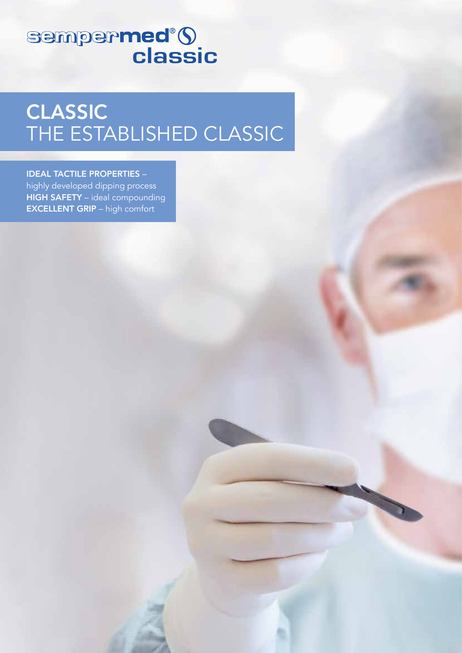# sempermed<sup>®</sup>S

# CLASSIC THE ESTABLISHED CLASSIC

### IDEAL TACTILE PROPERTIES –

highly developed dipping process HIGH SAFETY – ideal compounding EXCELLENT GRIP – high comfort